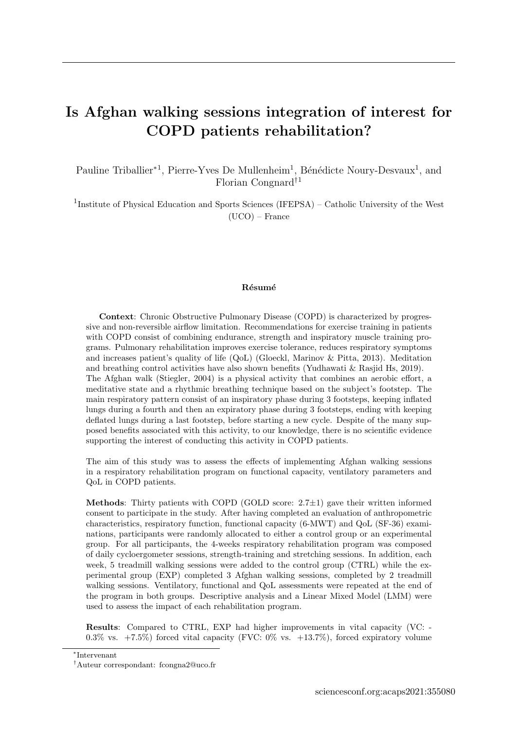## Is Afghan walking sessions integration of interest for COPD patients rehabilitation?

Pauline Triballier<sup>\*1</sup>, Pierre-Yves De Mullenheim<sup>1</sup>, Bénédicte Noury-Desvaux<sup>1</sup>, and Florian Congnard†<sup>1</sup>

<sup>1</sup>Institute of Physical Education and Sports Sciences (IFEPSA) – Catholic University of the West (UCO) – France

## Résumé

Context: Chronic Obstructive Pulmonary Disease (COPD) is characterized by progressive and non-reversible airflow limitation. Recommendations for exercise training in patients with COPD consist of combining endurance, strength and inspiratory muscle training programs. Pulmonary rehabilitation improves exercise tolerance, reduces respiratory symptoms and increases patient's quality of life (QoL) (Gloeckl, Marinov & Pitta, 2013). Meditation and breathing control activities have also shown benefits (Yudhawati & Rasjid Hs, 2019). The Afghan walk (Stiegler, 2004) is a physical activity that combines an aerobic effort, a meditative state and a rhythmic breathing technique based on the subject's footstep. The main respiratory pattern consist of an inspiratory phase during 3 footsteps, keeping inflated lungs during a fourth and then an expiratory phase during 3 footsteps, ending with keeping deflated lungs during a last footstep, before starting a new cycle. Despite of the many supposed benefits associated with this activity, to our knowledge, there is no scientific evidence supporting the interest of conducting this activity in COPD patients.

The aim of this study was to assess the effects of implementing Afghan walking sessions in a respiratory rehabilitation program on functional capacity, ventilatory parameters and QoL in COPD patients.

**Methods:** Thirty patients with COPD (GOLD score:  $2.7\pm1$ ) gave their written informed consent to participate in the study. After having completed an evaluation of anthropometric characteristics, respiratory function, functional capacity (6-MWT) and QoL (SF-36) examinations, participants were randomly allocated to either a control group or an experimental group. For all participants, the 4-weeks respiratory rehabilitation program was composed of daily cycloergometer sessions, strength-training and stretching sessions. In addition, each week, 5 treadmill walking sessions were added to the control group (CTRL) while the experimental group (EXP) completed 3 Afghan walking sessions, completed by 2 treadmill walking sessions. Ventilatory, functional and QoL assessments were repeated at the end of the program in both groups. Descriptive analysis and a Linear Mixed Model (LMM) were used to assess the impact of each rehabilitation program.

Results: Compared to CTRL, EXP had higher improvements in vital capacity (VC: - 0.3% vs.  $+7.5\%$ ) forced vital capacity (FVC: 0% vs.  $+13.7\%$ ), forced expiratory volume

∗ Intervenant

<sup>†</sup>Auteur correspondant: [fcongna2@uco.fr](mailto:fcongna2@uco.fr)